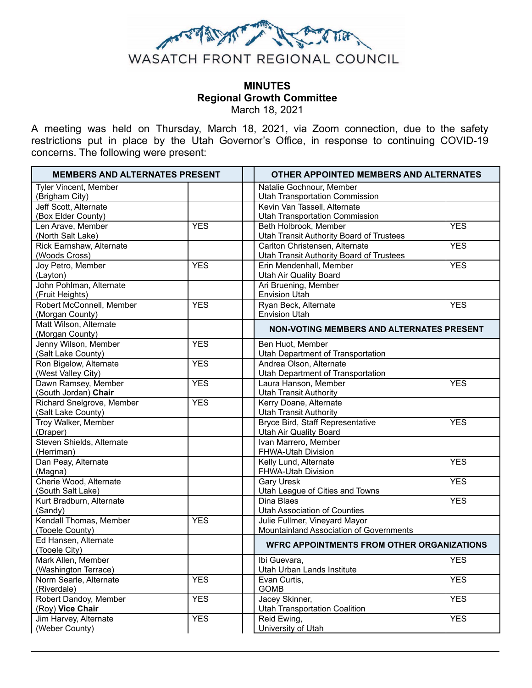

# **MINUTES Regional Growth Committee** March 18, 2021

A meeting was held on Thursday, March 18, 2021, via Zoom connection, due to the safety restrictions put in place by the Utah Governor's Office, in response to continuing COVID-19 concerns. The following were present:

| Natalie Gochnour, Member<br>Tyler Vincent, Member<br><b>Utah Transportation Commission</b><br>(Brigham City)<br>Kevin Van Tassell, Alternate<br>Jeff Scott, Alternate<br>(Box Elder County)<br><b>Utah Transportation Commission</b><br><b>YES</b><br>Beth Holbrook, Member<br><b>YES</b><br>Len Arave, Member<br>Utah Transit Authority Board of Trustees<br>(North Salt Lake)<br>Rick Earnshaw, Alternate<br>Carlton Christensen, Alternate<br><b>YES</b><br><b>Utah Transit Authority Board of Trustees</b><br>(Woods Cross)<br>Joy Petro, Member<br><b>YES</b><br>Erin Mendenhall, Member<br><b>YES</b><br>Utah Air Quality Board<br>(Layton)<br>John Pohlman, Alternate<br>Ari Bruening, Member<br><b>Envision Utah</b><br>(Fruit Heights)<br>Robert McConnell, Member<br>Ryan Beck, Alternate<br><b>YES</b><br><b>YES</b><br><b>Envision Utah</b><br>(Morgan County)<br>Matt Wilson, Alternate<br><b>NON-VOTING MEMBERS AND ALTERNATES PRESENT</b><br>(Morgan County)<br>Jenny Wilson, Member<br><b>YES</b><br>Ben Huot, Member<br>(Salt Lake County)<br>Utah Department of Transportation<br>Ron Bigelow, Alternate<br><b>YES</b><br>Andrea Olson, Alternate<br>(West Valley City)<br>Utah Department of Transportation<br>Dawn Ramsey, Member<br><b>YES</b><br>Laura Hanson, Member<br><b>YES</b><br>(South Jordan) Chair<br><b>Utah Transit Authority</b><br><b>YES</b><br>Richard Snelgrove, Member<br>Kerry Doane, Alternate<br>(Salt Lake County)<br><b>Utah Transit Authority</b><br><b>YES</b><br>Troy Walker, Member<br><b>Bryce Bird, Staff Representative</b><br>(Draper)<br><b>Utah Air Quality Board</b><br>Ivan Marrero, Member<br>Steven Shields, Alternate<br>(Herriman)<br>FHWA-Utah Division<br><b>YES</b><br>Dan Peay, Alternate<br>Kelly Lund, Alternate<br>FHWA-Utah Division<br>(Magna)<br>Cherie Wood, Alternate<br><b>Gary Uresk</b><br><b>YES</b><br>(South Salt Lake)<br>Utah League of Cities and Towns<br><b>YES</b><br>Kurt Bradburn, Alternate<br>Dina Blaes<br><b>Utah Association of Counties</b><br>(Sandy)<br>Julie Fullmer, Vineyard Mayor<br>Kendall Thomas, Member<br><b>YES</b><br>Mountainland Association of Governments<br>(Tooele County)<br>Ed Hansen, Alternate<br><b>WFRC APPOINTMENTS FROM OTHER ORGANIZATIONS</b><br>(Tooele City)<br>Mark Allen, Member<br>Ibi Guevara,<br><b>YES</b><br>Utah Urban Lands Institute<br>(Washington Terrace)<br><b>YES</b><br><b>YES</b><br>Norm Searle, Alternate<br>Evan Curtis,<br><b>GOMB</b><br>(Riverdale)<br>Robert Dandoy, Member<br><b>YES</b><br>Jacey Skinner,<br><b>YES</b><br><b>Utah Transportation Coalition</b><br>(Roy) Vice Chair<br><b>YES</b><br><b>YES</b><br>Jim Harvey, Alternate<br>Reid Ewing, | <b>MEMBERS AND ALTERNATES PRESENT</b> | <b>OTHER APPOINTED MEMBERS AND ALTERNATES</b> |  |
|--------------------------------------------------------------------------------------------------------------------------------------------------------------------------------------------------------------------------------------------------------------------------------------------------------------------------------------------------------------------------------------------------------------------------------------------------------------------------------------------------------------------------------------------------------------------------------------------------------------------------------------------------------------------------------------------------------------------------------------------------------------------------------------------------------------------------------------------------------------------------------------------------------------------------------------------------------------------------------------------------------------------------------------------------------------------------------------------------------------------------------------------------------------------------------------------------------------------------------------------------------------------------------------------------------------------------------------------------------------------------------------------------------------------------------------------------------------------------------------------------------------------------------------------------------------------------------------------------------------------------------------------------------------------------------------------------------------------------------------------------------------------------------------------------------------------------------------------------------------------------------------------------------------------------------------------------------------------------------------------------------------------------------------------------------------------------------------------------------------------------------------------------------------------------------------------------------------------------------------------------------------------------------------------------------------------------------------------------------------------------------------------------------------------------------------------------------------------------------------------------------------------------------------------------------------------------------------------------------------------------------------------------------------------------------------------------------------|---------------------------------------|-----------------------------------------------|--|
|                                                                                                                                                                                                                                                                                                                                                                                                                                                                                                                                                                                                                                                                                                                                                                                                                                                                                                                                                                                                                                                                                                                                                                                                                                                                                                                                                                                                                                                                                                                                                                                                                                                                                                                                                                                                                                                                                                                                                                                                                                                                                                                                                                                                                                                                                                                                                                                                                                                                                                                                                                                                                                                                                                              |                                       |                                               |  |
|                                                                                                                                                                                                                                                                                                                                                                                                                                                                                                                                                                                                                                                                                                                                                                                                                                                                                                                                                                                                                                                                                                                                                                                                                                                                                                                                                                                                                                                                                                                                                                                                                                                                                                                                                                                                                                                                                                                                                                                                                                                                                                                                                                                                                                                                                                                                                                                                                                                                                                                                                                                                                                                                                                              |                                       |                                               |  |
|                                                                                                                                                                                                                                                                                                                                                                                                                                                                                                                                                                                                                                                                                                                                                                                                                                                                                                                                                                                                                                                                                                                                                                                                                                                                                                                                                                                                                                                                                                                                                                                                                                                                                                                                                                                                                                                                                                                                                                                                                                                                                                                                                                                                                                                                                                                                                                                                                                                                                                                                                                                                                                                                                                              |                                       |                                               |  |
|                                                                                                                                                                                                                                                                                                                                                                                                                                                                                                                                                                                                                                                                                                                                                                                                                                                                                                                                                                                                                                                                                                                                                                                                                                                                                                                                                                                                                                                                                                                                                                                                                                                                                                                                                                                                                                                                                                                                                                                                                                                                                                                                                                                                                                                                                                                                                                                                                                                                                                                                                                                                                                                                                                              |                                       |                                               |  |
|                                                                                                                                                                                                                                                                                                                                                                                                                                                                                                                                                                                                                                                                                                                                                                                                                                                                                                                                                                                                                                                                                                                                                                                                                                                                                                                                                                                                                                                                                                                                                                                                                                                                                                                                                                                                                                                                                                                                                                                                                                                                                                                                                                                                                                                                                                                                                                                                                                                                                                                                                                                                                                                                                                              |                                       |                                               |  |
|                                                                                                                                                                                                                                                                                                                                                                                                                                                                                                                                                                                                                                                                                                                                                                                                                                                                                                                                                                                                                                                                                                                                                                                                                                                                                                                                                                                                                                                                                                                                                                                                                                                                                                                                                                                                                                                                                                                                                                                                                                                                                                                                                                                                                                                                                                                                                                                                                                                                                                                                                                                                                                                                                                              |                                       |                                               |  |
|                                                                                                                                                                                                                                                                                                                                                                                                                                                                                                                                                                                                                                                                                                                                                                                                                                                                                                                                                                                                                                                                                                                                                                                                                                                                                                                                                                                                                                                                                                                                                                                                                                                                                                                                                                                                                                                                                                                                                                                                                                                                                                                                                                                                                                                                                                                                                                                                                                                                                                                                                                                                                                                                                                              |                                       |                                               |  |
|                                                                                                                                                                                                                                                                                                                                                                                                                                                                                                                                                                                                                                                                                                                                                                                                                                                                                                                                                                                                                                                                                                                                                                                                                                                                                                                                                                                                                                                                                                                                                                                                                                                                                                                                                                                                                                                                                                                                                                                                                                                                                                                                                                                                                                                                                                                                                                                                                                                                                                                                                                                                                                                                                                              |                                       |                                               |  |
|                                                                                                                                                                                                                                                                                                                                                                                                                                                                                                                                                                                                                                                                                                                                                                                                                                                                                                                                                                                                                                                                                                                                                                                                                                                                                                                                                                                                                                                                                                                                                                                                                                                                                                                                                                                                                                                                                                                                                                                                                                                                                                                                                                                                                                                                                                                                                                                                                                                                                                                                                                                                                                                                                                              |                                       |                                               |  |
|                                                                                                                                                                                                                                                                                                                                                                                                                                                                                                                                                                                                                                                                                                                                                                                                                                                                                                                                                                                                                                                                                                                                                                                                                                                                                                                                                                                                                                                                                                                                                                                                                                                                                                                                                                                                                                                                                                                                                                                                                                                                                                                                                                                                                                                                                                                                                                                                                                                                                                                                                                                                                                                                                                              |                                       |                                               |  |
|                                                                                                                                                                                                                                                                                                                                                                                                                                                                                                                                                                                                                                                                                                                                                                                                                                                                                                                                                                                                                                                                                                                                                                                                                                                                                                                                                                                                                                                                                                                                                                                                                                                                                                                                                                                                                                                                                                                                                                                                                                                                                                                                                                                                                                                                                                                                                                                                                                                                                                                                                                                                                                                                                                              |                                       |                                               |  |
|                                                                                                                                                                                                                                                                                                                                                                                                                                                                                                                                                                                                                                                                                                                                                                                                                                                                                                                                                                                                                                                                                                                                                                                                                                                                                                                                                                                                                                                                                                                                                                                                                                                                                                                                                                                                                                                                                                                                                                                                                                                                                                                                                                                                                                                                                                                                                                                                                                                                                                                                                                                                                                                                                                              |                                       |                                               |  |
|                                                                                                                                                                                                                                                                                                                                                                                                                                                                                                                                                                                                                                                                                                                                                                                                                                                                                                                                                                                                                                                                                                                                                                                                                                                                                                                                                                                                                                                                                                                                                                                                                                                                                                                                                                                                                                                                                                                                                                                                                                                                                                                                                                                                                                                                                                                                                                                                                                                                                                                                                                                                                                                                                                              |                                       |                                               |  |
|                                                                                                                                                                                                                                                                                                                                                                                                                                                                                                                                                                                                                                                                                                                                                                                                                                                                                                                                                                                                                                                                                                                                                                                                                                                                                                                                                                                                                                                                                                                                                                                                                                                                                                                                                                                                                                                                                                                                                                                                                                                                                                                                                                                                                                                                                                                                                                                                                                                                                                                                                                                                                                                                                                              |                                       |                                               |  |
|                                                                                                                                                                                                                                                                                                                                                                                                                                                                                                                                                                                                                                                                                                                                                                                                                                                                                                                                                                                                                                                                                                                                                                                                                                                                                                                                                                                                                                                                                                                                                                                                                                                                                                                                                                                                                                                                                                                                                                                                                                                                                                                                                                                                                                                                                                                                                                                                                                                                                                                                                                                                                                                                                                              |                                       |                                               |  |
|                                                                                                                                                                                                                                                                                                                                                                                                                                                                                                                                                                                                                                                                                                                                                                                                                                                                                                                                                                                                                                                                                                                                                                                                                                                                                                                                                                                                                                                                                                                                                                                                                                                                                                                                                                                                                                                                                                                                                                                                                                                                                                                                                                                                                                                                                                                                                                                                                                                                                                                                                                                                                                                                                                              |                                       |                                               |  |
|                                                                                                                                                                                                                                                                                                                                                                                                                                                                                                                                                                                                                                                                                                                                                                                                                                                                                                                                                                                                                                                                                                                                                                                                                                                                                                                                                                                                                                                                                                                                                                                                                                                                                                                                                                                                                                                                                                                                                                                                                                                                                                                                                                                                                                                                                                                                                                                                                                                                                                                                                                                                                                                                                                              |                                       |                                               |  |
|                                                                                                                                                                                                                                                                                                                                                                                                                                                                                                                                                                                                                                                                                                                                                                                                                                                                                                                                                                                                                                                                                                                                                                                                                                                                                                                                                                                                                                                                                                                                                                                                                                                                                                                                                                                                                                                                                                                                                                                                                                                                                                                                                                                                                                                                                                                                                                                                                                                                                                                                                                                                                                                                                                              |                                       |                                               |  |
|                                                                                                                                                                                                                                                                                                                                                                                                                                                                                                                                                                                                                                                                                                                                                                                                                                                                                                                                                                                                                                                                                                                                                                                                                                                                                                                                                                                                                                                                                                                                                                                                                                                                                                                                                                                                                                                                                                                                                                                                                                                                                                                                                                                                                                                                                                                                                                                                                                                                                                                                                                                                                                                                                                              |                                       |                                               |  |
|                                                                                                                                                                                                                                                                                                                                                                                                                                                                                                                                                                                                                                                                                                                                                                                                                                                                                                                                                                                                                                                                                                                                                                                                                                                                                                                                                                                                                                                                                                                                                                                                                                                                                                                                                                                                                                                                                                                                                                                                                                                                                                                                                                                                                                                                                                                                                                                                                                                                                                                                                                                                                                                                                                              |                                       |                                               |  |
|                                                                                                                                                                                                                                                                                                                                                                                                                                                                                                                                                                                                                                                                                                                                                                                                                                                                                                                                                                                                                                                                                                                                                                                                                                                                                                                                                                                                                                                                                                                                                                                                                                                                                                                                                                                                                                                                                                                                                                                                                                                                                                                                                                                                                                                                                                                                                                                                                                                                                                                                                                                                                                                                                                              |                                       |                                               |  |
|                                                                                                                                                                                                                                                                                                                                                                                                                                                                                                                                                                                                                                                                                                                                                                                                                                                                                                                                                                                                                                                                                                                                                                                                                                                                                                                                                                                                                                                                                                                                                                                                                                                                                                                                                                                                                                                                                                                                                                                                                                                                                                                                                                                                                                                                                                                                                                                                                                                                                                                                                                                                                                                                                                              |                                       |                                               |  |
|                                                                                                                                                                                                                                                                                                                                                                                                                                                                                                                                                                                                                                                                                                                                                                                                                                                                                                                                                                                                                                                                                                                                                                                                                                                                                                                                                                                                                                                                                                                                                                                                                                                                                                                                                                                                                                                                                                                                                                                                                                                                                                                                                                                                                                                                                                                                                                                                                                                                                                                                                                                                                                                                                                              |                                       |                                               |  |
|                                                                                                                                                                                                                                                                                                                                                                                                                                                                                                                                                                                                                                                                                                                                                                                                                                                                                                                                                                                                                                                                                                                                                                                                                                                                                                                                                                                                                                                                                                                                                                                                                                                                                                                                                                                                                                                                                                                                                                                                                                                                                                                                                                                                                                                                                                                                                                                                                                                                                                                                                                                                                                                                                                              |                                       |                                               |  |
|                                                                                                                                                                                                                                                                                                                                                                                                                                                                                                                                                                                                                                                                                                                                                                                                                                                                                                                                                                                                                                                                                                                                                                                                                                                                                                                                                                                                                                                                                                                                                                                                                                                                                                                                                                                                                                                                                                                                                                                                                                                                                                                                                                                                                                                                                                                                                                                                                                                                                                                                                                                                                                                                                                              |                                       |                                               |  |
|                                                                                                                                                                                                                                                                                                                                                                                                                                                                                                                                                                                                                                                                                                                                                                                                                                                                                                                                                                                                                                                                                                                                                                                                                                                                                                                                                                                                                                                                                                                                                                                                                                                                                                                                                                                                                                                                                                                                                                                                                                                                                                                                                                                                                                                                                                                                                                                                                                                                                                                                                                                                                                                                                                              |                                       |                                               |  |
|                                                                                                                                                                                                                                                                                                                                                                                                                                                                                                                                                                                                                                                                                                                                                                                                                                                                                                                                                                                                                                                                                                                                                                                                                                                                                                                                                                                                                                                                                                                                                                                                                                                                                                                                                                                                                                                                                                                                                                                                                                                                                                                                                                                                                                                                                                                                                                                                                                                                                                                                                                                                                                                                                                              |                                       |                                               |  |
|                                                                                                                                                                                                                                                                                                                                                                                                                                                                                                                                                                                                                                                                                                                                                                                                                                                                                                                                                                                                                                                                                                                                                                                                                                                                                                                                                                                                                                                                                                                                                                                                                                                                                                                                                                                                                                                                                                                                                                                                                                                                                                                                                                                                                                                                                                                                                                                                                                                                                                                                                                                                                                                                                                              |                                       |                                               |  |
|                                                                                                                                                                                                                                                                                                                                                                                                                                                                                                                                                                                                                                                                                                                                                                                                                                                                                                                                                                                                                                                                                                                                                                                                                                                                                                                                                                                                                                                                                                                                                                                                                                                                                                                                                                                                                                                                                                                                                                                                                                                                                                                                                                                                                                                                                                                                                                                                                                                                                                                                                                                                                                                                                                              |                                       |                                               |  |
|                                                                                                                                                                                                                                                                                                                                                                                                                                                                                                                                                                                                                                                                                                                                                                                                                                                                                                                                                                                                                                                                                                                                                                                                                                                                                                                                                                                                                                                                                                                                                                                                                                                                                                                                                                                                                                                                                                                                                                                                                                                                                                                                                                                                                                                                                                                                                                                                                                                                                                                                                                                                                                                                                                              |                                       |                                               |  |
|                                                                                                                                                                                                                                                                                                                                                                                                                                                                                                                                                                                                                                                                                                                                                                                                                                                                                                                                                                                                                                                                                                                                                                                                                                                                                                                                                                                                                                                                                                                                                                                                                                                                                                                                                                                                                                                                                                                                                                                                                                                                                                                                                                                                                                                                                                                                                                                                                                                                                                                                                                                                                                                                                                              |                                       |                                               |  |
|                                                                                                                                                                                                                                                                                                                                                                                                                                                                                                                                                                                                                                                                                                                                                                                                                                                                                                                                                                                                                                                                                                                                                                                                                                                                                                                                                                                                                                                                                                                                                                                                                                                                                                                                                                                                                                                                                                                                                                                                                                                                                                                                                                                                                                                                                                                                                                                                                                                                                                                                                                                                                                                                                                              |                                       |                                               |  |
|                                                                                                                                                                                                                                                                                                                                                                                                                                                                                                                                                                                                                                                                                                                                                                                                                                                                                                                                                                                                                                                                                                                                                                                                                                                                                                                                                                                                                                                                                                                                                                                                                                                                                                                                                                                                                                                                                                                                                                                                                                                                                                                                                                                                                                                                                                                                                                                                                                                                                                                                                                                                                                                                                                              |                                       |                                               |  |
|                                                                                                                                                                                                                                                                                                                                                                                                                                                                                                                                                                                                                                                                                                                                                                                                                                                                                                                                                                                                                                                                                                                                                                                                                                                                                                                                                                                                                                                                                                                                                                                                                                                                                                                                                                                                                                                                                                                                                                                                                                                                                                                                                                                                                                                                                                                                                                                                                                                                                                                                                                                                                                                                                                              |                                       |                                               |  |
|                                                                                                                                                                                                                                                                                                                                                                                                                                                                                                                                                                                                                                                                                                                                                                                                                                                                                                                                                                                                                                                                                                                                                                                                                                                                                                                                                                                                                                                                                                                                                                                                                                                                                                                                                                                                                                                                                                                                                                                                                                                                                                                                                                                                                                                                                                                                                                                                                                                                                                                                                                                                                                                                                                              |                                       |                                               |  |
|                                                                                                                                                                                                                                                                                                                                                                                                                                                                                                                                                                                                                                                                                                                                                                                                                                                                                                                                                                                                                                                                                                                                                                                                                                                                                                                                                                                                                                                                                                                                                                                                                                                                                                                                                                                                                                                                                                                                                                                                                                                                                                                                                                                                                                                                                                                                                                                                                                                                                                                                                                                                                                                                                                              |                                       |                                               |  |
|                                                                                                                                                                                                                                                                                                                                                                                                                                                                                                                                                                                                                                                                                                                                                                                                                                                                                                                                                                                                                                                                                                                                                                                                                                                                                                                                                                                                                                                                                                                                                                                                                                                                                                                                                                                                                                                                                                                                                                                                                                                                                                                                                                                                                                                                                                                                                                                                                                                                                                                                                                                                                                                                                                              |                                       |                                               |  |
|                                                                                                                                                                                                                                                                                                                                                                                                                                                                                                                                                                                                                                                                                                                                                                                                                                                                                                                                                                                                                                                                                                                                                                                                                                                                                                                                                                                                                                                                                                                                                                                                                                                                                                                                                                                                                                                                                                                                                                                                                                                                                                                                                                                                                                                                                                                                                                                                                                                                                                                                                                                                                                                                                                              |                                       |                                               |  |
|                                                                                                                                                                                                                                                                                                                                                                                                                                                                                                                                                                                                                                                                                                                                                                                                                                                                                                                                                                                                                                                                                                                                                                                                                                                                                                                                                                                                                                                                                                                                                                                                                                                                                                                                                                                                                                                                                                                                                                                                                                                                                                                                                                                                                                                                                                                                                                                                                                                                                                                                                                                                                                                                                                              |                                       |                                               |  |
|                                                                                                                                                                                                                                                                                                                                                                                                                                                                                                                                                                                                                                                                                                                                                                                                                                                                                                                                                                                                                                                                                                                                                                                                                                                                                                                                                                                                                                                                                                                                                                                                                                                                                                                                                                                                                                                                                                                                                                                                                                                                                                                                                                                                                                                                                                                                                                                                                                                                                                                                                                                                                                                                                                              |                                       |                                               |  |
|                                                                                                                                                                                                                                                                                                                                                                                                                                                                                                                                                                                                                                                                                                                                                                                                                                                                                                                                                                                                                                                                                                                                                                                                                                                                                                                                                                                                                                                                                                                                                                                                                                                                                                                                                                                                                                                                                                                                                                                                                                                                                                                                                                                                                                                                                                                                                                                                                                                                                                                                                                                                                                                                                                              |                                       |                                               |  |
|                                                                                                                                                                                                                                                                                                                                                                                                                                                                                                                                                                                                                                                                                                                                                                                                                                                                                                                                                                                                                                                                                                                                                                                                                                                                                                                                                                                                                                                                                                                                                                                                                                                                                                                                                                                                                                                                                                                                                                                                                                                                                                                                                                                                                                                                                                                                                                                                                                                                                                                                                                                                                                                                                                              |                                       |                                               |  |
|                                                                                                                                                                                                                                                                                                                                                                                                                                                                                                                                                                                                                                                                                                                                                                                                                                                                                                                                                                                                                                                                                                                                                                                                                                                                                                                                                                                                                                                                                                                                                                                                                                                                                                                                                                                                                                                                                                                                                                                                                                                                                                                                                                                                                                                                                                                                                                                                                                                                                                                                                                                                                                                                                                              | (Weber County)                        | University of Utah                            |  |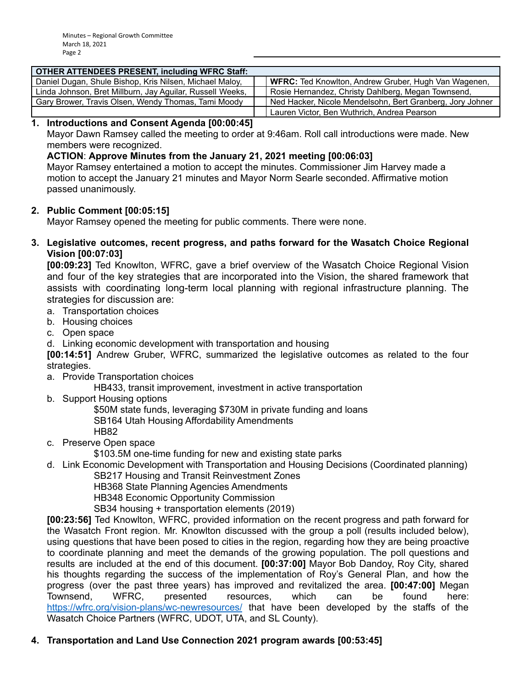| <b>OTHER ATTENDEES PRESENT, including WFRC Staff:</b>     |                                                             |
|-----------------------------------------------------------|-------------------------------------------------------------|
| Daniel Dugan, Shule Bishop, Kris Nilsen, Michael Maloy,   | <b>WFRC:</b> Ted Knowlton, Andrew Gruber, Hugh Van Wagenen, |
| Linda Johnson, Bret Millburn, Jay Aguilar, Russell Weeks, | Rosie Hernandez, Christy Dahlberg, Megan Townsend,          |
| Gary Brower, Travis Olsen, Wendy Thomas, Tami Moody       | Ned Hacker, Nicole Mendelsohn, Bert Granberg, Jory Johner   |
|                                                           | Lauren Victor, Ben Wuthrich, Andrea Pearson                 |

# **1. Introductions and Consent Agenda [00:00:45]**

Mayor Dawn Ramsey called the meeting to order at 9:46am. Roll call introductions were made. New members were recognized.

# **ACTION**: **Approve Minutes from the January 21, 2021 meeting [00:06:03]**

Mayor Ramsey entertained a motion to accept the minutes. Commissioner Jim Harvey made a motion to accept the January 21 minutes and Mayor Norm Searle seconded. Affirmative motion passed unanimously.

#### **2. Public Comment [00:05:15]**

Mayor Ramsey opened the meeting for public comments. There were none.

**3. Legislative outcomes, recent progress, and paths forward for the Wasatch Choice Regional Vision [00:07:03]**

**[00:09:23]** Ted Knowlton, WFRC, gave a brief overview of the Wasatch Choice Regional Vision and four of the key strategies that are incorporated into the Vision, the shared framework that assists with coordinating long-term local planning with regional infrastructure planning. The strategies for discussion are:

- a. Transportation choices
- b. Housing choices
- c. Open space
- d. Linking economic development with transportation and housing

**[00:14:51]** Andrew Gruber, WFRC, summarized the legislative outcomes as related to the four strategies.

a. Provide Transportation choices

HB433, transit improvement, investment in active transportation

b. Support Housing options

\$50M state funds, leveraging \$730M in private funding and loans SB164 Utah Housing Affordability Amendments

HB82

c. Preserve Open space

\$103.5M one-time funding for new and existing state parks

d. Link Economic Development with Transportation and Housing Decisions (Coordinated planning) SB217 Housing and Transit Reinvestment Zones

HB368 State Planning Agencies Amendments

HB348 Economic Opportunity Commission

SB34 housing + transportation elements (2019)

**[00:23:56]** Ted Knowlton, WFRC, provided information on the recent progress and path forward for the Wasatch Front region. Mr. Knowlton discussed with the group a poll (results included below), using questions that have been posed to cities in the region, regarding how they are being proactive to coordinate planning and meet the demands of the growing population. The poll questions and results are included at the end of this document. **[00:37:00]** Mayor Bob Dandoy, Roy City, shared his thoughts regarding the success of the implementation of Roy's General Plan, and how the progress (over the past three years) has improved and revitalized the area. **[00:47:00]** Megan Townsend, WFRC, presented resources, which can be found here: <https://wfrc.org/vision-plans/wc-newresources/> that have been developed by the staffs of the Wasatch Choice Partners (WFRC, UDOT, UTA, and SL County).

# **4. Transportation and Land Use Connection 2021 program awards [00:53:45]**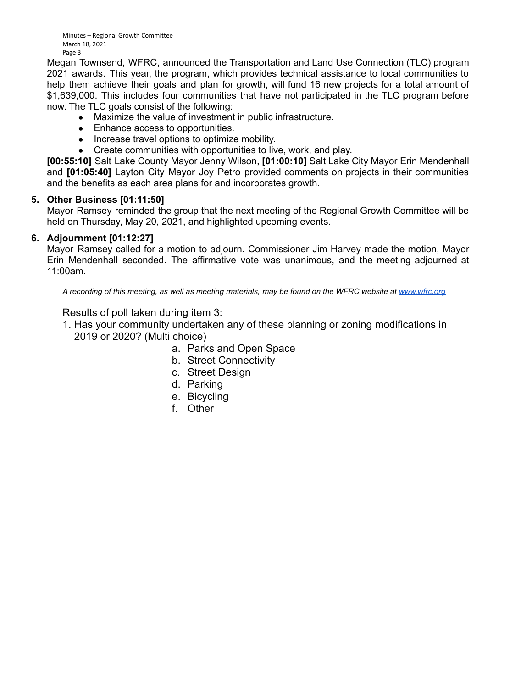Minutes – Regional Growth Committee March 18, 2021 Page 3

Megan Townsend, WFRC, announced the Transportation and Land Use Connection (TLC) program 2021 awards. This year, the program, which provides technical assistance to local communities to help them achieve their goals and plan for growth, will fund 16 new projects for a total amount of \$1,639,000. This includes four communities that have not participated in the TLC program before now. The TLC goals consist of the following:

- Maximize the value of investment in public infrastructure.
- Enhance access to opportunities.
- Increase travel options to optimize mobility.
- Create communities with opportunities to live, work, and play.

**[00:55:10]** Salt Lake County Mayor Jenny Wilson, **[01:00:10]** Salt Lake City Mayor Erin Mendenhall and **[01:05:40]** Layton City Mayor Joy Petro provided comments on projects in their communities and the benefits as each area plans for and incorporates growth.

# **5. Other Business [01:11:50]**

Mayor Ramsey reminded the group that the next meeting of the Regional Growth Committee will be held on Thursday, May 20, 2021, and highlighted upcoming events.

# **6. Adjournment [01:12:27]**

Mayor Ramsey called for a motion to adjourn. Commissioner Jim Harvey made the motion, Mayor Erin Mendenhall seconded. The affirmative vote was unanimous, and the meeting adjourned at 11:00am.

*A recording of this meeting, as well as meeting materials, may be found on the WFRC website at [www.wfrc.org](http://www.wfrc.org/)*

#### Results of poll taken during item 3:

- 1. Has your community undertaken any of these planning or zoning modifications in 2019 or 2020? (Multi choice)
	- a. Parks and Open Space
	- b. Street Connectivity
	- c. Street Design
	- d. Parking
	- e. Bicycling
	- f. Other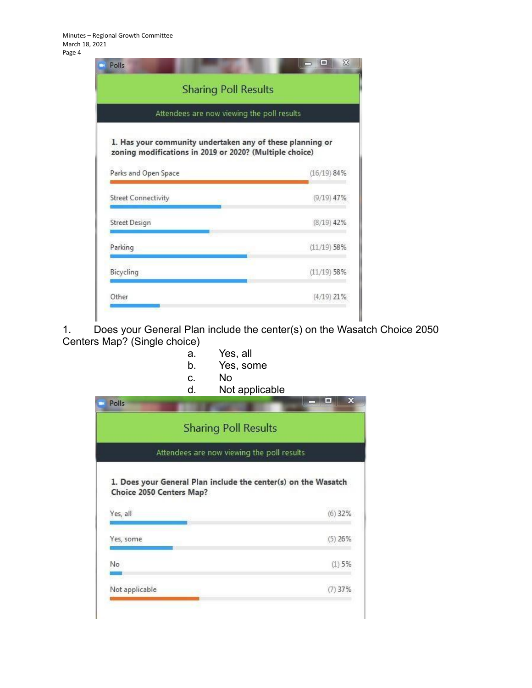Minutes – Regional Growth Committee March 18, 2021 Page 4

|                                                                                                                      | <b>Sharing Poll Results</b> |
|----------------------------------------------------------------------------------------------------------------------|-----------------------------|
| Attendees are now viewing the poll results                                                                           |                             |
| 1. Has your community undertaken any of these planning or<br>zoning modifications in 2019 or 2020? (Multiple choice) |                             |
| Parks and Open Space                                                                                                 | $(16/19)$ 84%               |
| <b>Street Connectivity</b>                                                                                           | $(9/19)$ 47%                |
| <b>Street Design</b>                                                                                                 | $(8/19)$ 42%                |
|                                                                                                                      |                             |
|                                                                                                                      | $(11/19)$ 58%               |
| Parking<br>Bicycling                                                                                                 | $(11/19)$ 58%               |

1. Does your General Plan include the center(s) on the Wasatch Choice 2050 Centers Map? (Single choice)

- a. Yes, all
- b. Yes, some
- c. No<br>d. Not
	- Not applicable

| <b>Sharing Poll Results</b>                                                                |           |
|--------------------------------------------------------------------------------------------|-----------|
| Attendees are now viewing the poll results                                                 |           |
| 1. Does your General Plan include the center(s) on the Wasatch<br>Choice 2050 Centers Map? |           |
| Yes, all                                                                                   | $(6)$ 32% |
| Yes, some                                                                                  | $(5)$ 26% |
| No                                                                                         | (1)5%     |
|                                                                                            |           |